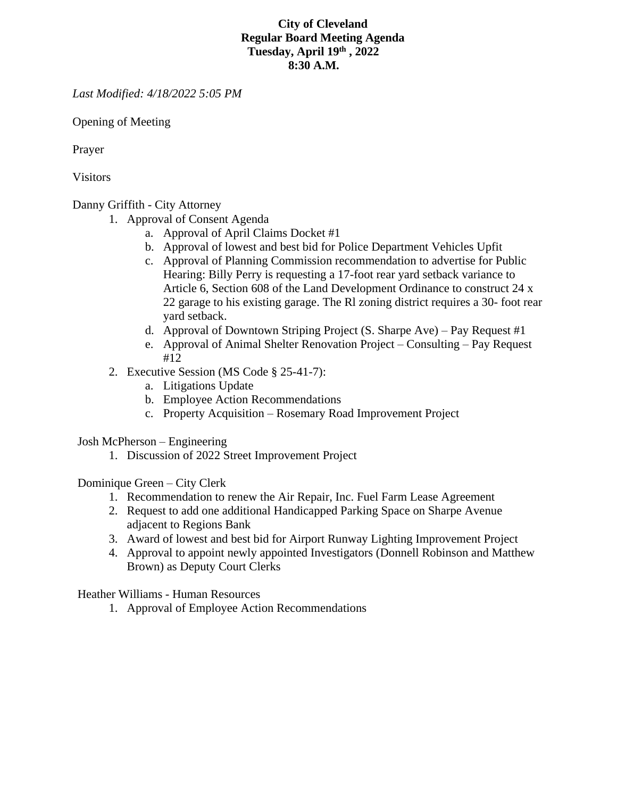## **City of Cleveland Regular Board Meeting Agenda Tuesday, April 19th , 2022 8:30 A.M.**

*Last Modified: 4/18/2022 5:05 PM*

Opening of Meeting

Prayer

Visitors

## Danny Griffith - City Attorney

- 1. Approval of Consent Agenda
	- a. Approval of April Claims Docket #1
	- b. Approval of lowest and best bid for Police Department Vehicles Upfit
	- c. Approval of Planning Commission recommendation to advertise for Public Hearing: Billy Perry is requesting a 17-foot rear yard setback variance to Article 6, Section 608 of the Land Development Ordinance to construct 24 x 22 garage to his existing garage. The Rl zoning district requires a 30- foot rear yard setback.
	- d. Approval of Downtown Striping Project (S. Sharpe Ave) Pay Request #1
	- e. Approval of Animal Shelter Renovation Project Consulting Pay Request #12
- 2. Executive Session (MS Code § 25-41-7):
	- a. Litigations Update
	- b. Employee Action Recommendations
	- c. Property Acquisition Rosemary Road Improvement Project

Josh McPherson – Engineering

1. Discussion of 2022 Street Improvement Project

Dominique Green – City Clerk

- 1. Recommendation to renew the Air Repair, Inc. Fuel Farm Lease Agreement
- 2. Request to add one additional Handicapped Parking Space on Sharpe Avenue adjacent to Regions Bank
- 3. Award of lowest and best bid for Airport Runway Lighting Improvement Project
- 4. Approval to appoint newly appointed Investigators (Donnell Robinson and Matthew Brown) as Deputy Court Clerks

Heather Williams - Human Resources

1. Approval of Employee Action Recommendations